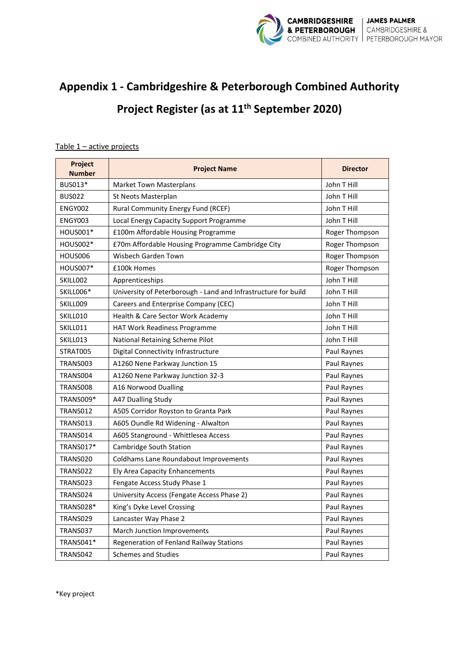

## **Appendix 1 - Cambridgeshire & Peterborough Combined Authority Project Register (as at 11th September 2020)**

## Table 1 – active projects

| Project<br><b>Number</b> | <b>Project Name</b>                                            | <b>Director</b> |
|--------------------------|----------------------------------------------------------------|-----------------|
| BUS013*                  | <b>Market Town Masterplans</b>                                 | John T Hill     |
| <b>BUS022</b>            | St Neots Masterplan                                            | John T Hill     |
| ENGY002                  | Rural Community Energy Fund (RCEF)                             | John T Hill     |
| ENGY003                  | Local Energy Capacity Support Programme                        | John T Hill     |
| HOUS001*                 | £100m Affordable Housing Programme                             | Roger Thompson  |
| HOUS002*                 | £70m Affordable Housing Programme Cambridge City               | Roger Thompson  |
| HOUS006                  | Wisbech Garden Town                                            | Roger Thompson  |
| HOUS007*                 | £100k Homes                                                    | Roger Thompson  |
| SKILL002                 | Apprenticeships                                                | John T Hill     |
| SKILL006*                | University of Peterborough - Land and Infrastructure for build | John T Hill     |
| SKILL009                 | Careers and Enterprise Company (CEC)                           | John T Hill     |
| SKILL010                 | Health & Care Sector Work Academy                              | John T Hill     |
| SKILL011                 | <b>HAT Work Readiness Programme</b>                            | John T Hill     |
| SKILL013                 | National Retaining Scheme Pilot                                | John T Hill     |
| STRAT005                 | Digital Connectivity Infrastructure                            | Paul Raynes     |
| TRANS003                 | A1260 Nene Parkway Junction 15                                 | Paul Raynes     |
| TRANS004                 | A1260 Nene Parkway Junction 32-3                               | Paul Raynes     |
| TRANS008                 | A16 Norwood Dualling                                           | Paul Raynes     |
| TRANS009*                | A47 Dualling Study                                             | Paul Raynes     |
| TRANS012                 | A505 Corridor Royston to Granta Park                           | Paul Raynes     |
| TRANS013                 | A605 Oundle Rd Widening - Alwalton                             | Paul Raynes     |
| TRANS014                 | A605 Stanground - Whittlesea Access                            | Paul Raynes     |
| TRANS017*                | Cambridge South Station                                        | Paul Raynes     |
| TRANS020                 | Coldhams Lane Roundabout Improvements                          | Paul Raynes     |
| TRANS022                 | Ely Area Capacity Enhancements                                 | Paul Raynes     |
| TRANS023                 | Fengate Access Study Phase 1                                   | Paul Raynes     |
| TRANS024                 | University Access (Fengate Access Phase 2)                     | Paul Raynes     |
| TRANS028*                | King's Dyke Level Crossing                                     | Paul Raynes     |
| TRANS029                 | Lancaster Way Phase 2                                          | Paul Raynes     |
| TRANS037                 | March Junction Improvements                                    | Paul Raynes     |
| TRANS041*                | Regeneration of Fenland Railway Stations                       | Paul Raynes     |
| TRANS042                 | <b>Schemes and Studies</b>                                     | Paul Raynes     |